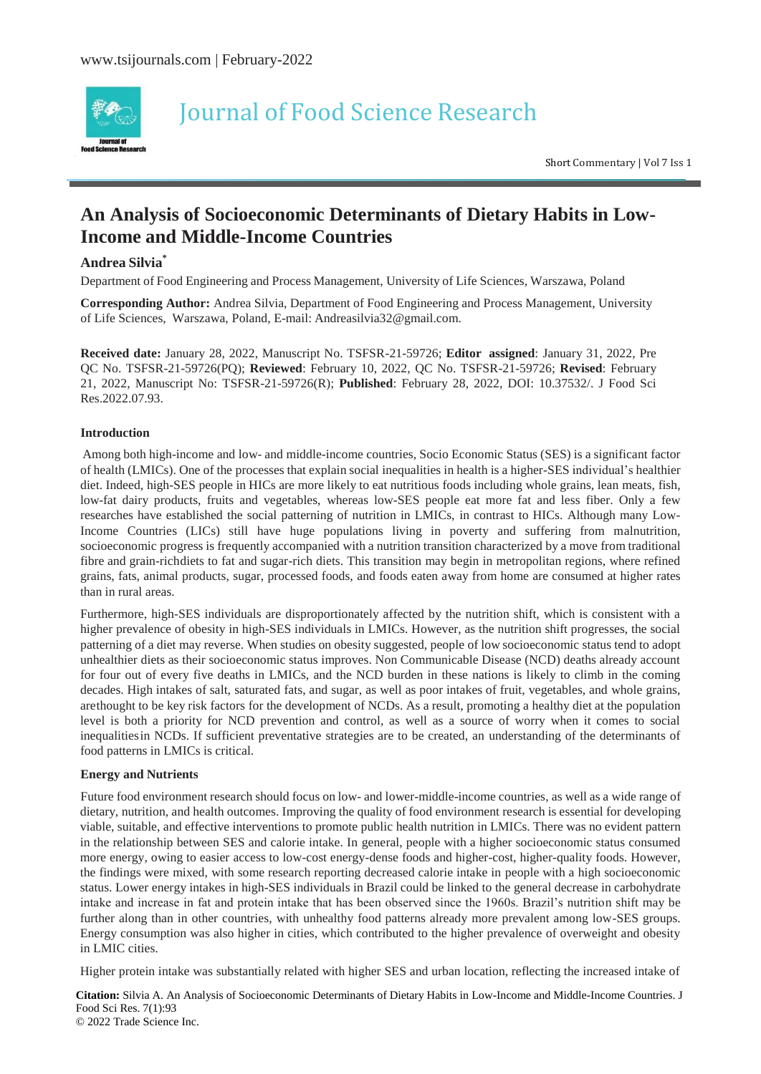

# Journal of Food Science Research

Short Commentary <sup>|</sup> Vol <sup>7</sup> Iss <sup>1</sup>

## **An Analysis of Socioeconomic Determinants of Dietary Habits in Low-Income and Middle-Income Countries**

### **Andrea Silvia\***

Department of Food Engineering and Process Management, University of Life Sciences, Warszawa, Poland

**Corresponding Author:** Andrea Silvia, Department of Food Engineering and Process Management, University of Life Sciences, Warszawa, Poland, E-mail: [Andreasilvia32@gmail.com.](mailto:Andreasilvia32@gmail.com)

**Received date:** January 28, 2022, Manuscript No. TSFSR-21-59726; **Editor assigned**: January 31, 2022, Pre QC No. TSFSR-21-59726(PQ); **Reviewed**: February 10, 2022, QC No. TSFSR-21-59726; **Revised**: February 21, 2022, Manuscript No: TSFSR-21-59726(R); **Published**: February 28, 2022, DOI: 10.37532/. J Food Sci Res.2022.07.93.

#### **Introduction**

Among both high-income and low- and middle-income countries, Socio Economic Status (SES) is a significant factor of health (LMICs). One of the processes that explain social inequalities in health is a higher-SES individual's healthier diet. Indeed, high-SES people in HICs are more likely to eat nutritious foods including whole grains, lean meats, fish, low-fat dairy products, fruits and vegetables, whereas low-SES people eat more fat and less fiber. Only a few researches have established the social patterning of nutrition in LMICs, in contrast to HICs. Although many Low-Income Countries (LICs) still have huge populations living in poverty and suffering from malnutrition, socioeconomic progress is frequently accompanied with a nutrition transition characterized by a move from traditional fibre and grain-richdiets to fat and sugar-rich diets. This transition may begin in metropolitan regions, where refined grains, fats, animal products, sugar, processed foods, and foods eaten away from home are consumed at higher rates than in rural areas.

Furthermore, high-SES individuals are disproportionately affected by the nutrition shift, which is consistent with a higher prevalence of obesity in high-SES individuals in LMICs. However, as the nutrition shift progresses, the social patterning of a diet may reverse. When studies on obesity suggested, people of low socioeconomic status tend to adopt unhealthier diets as their socioeconomic status improves. Non Communicable Disease (NCD) deaths already account for four out of every five deaths in LMICs, and the NCD burden in these nations is likely to climb in the coming decades. High intakes of salt, saturated fats, and sugar, as well as poor intakes of fruit, vegetables, and whole grains, arethought to be key risk factors for the development of NCDs. As a result, promoting a healthy diet at the population level is both a priority for NCD prevention and control, as well as a source of worry when it comes to social inequalitiesin NCDs. If sufficient preventative strategies are to be created, an understanding of the determinants of food patterns in LMICs is critical.

#### **Energy and Nutrients**

Future food environment research should focus on low- and lower-middle-income countries, as well as a wide range of dietary, nutrition, and health outcomes. Improving the quality of food environment research is essential for developing viable, suitable, and effective interventions to promote public health nutrition in LMICs. There was no evident pattern in the relationship between SES and calorie intake. In general, people with a higher socioeconomic status consumed more energy, owing to easier access to low-cost energy-dense foods and higher-cost, higher-quality foods. However, the findings were mixed, with some research reporting decreased calorie intake in people with a high socioeconomic status. Lower energy intakes in high-SES individuals in Brazil could be linked to the general decrease in carbohydrate intake and increase in fat and protein intake that has been observed since the 1960s. Brazil's nutrition shift may be further along than in other countries, with unhealthy food patterns already more prevalent among low-SES groups. Energy consumption was also higher in cities, which contributed to the higher prevalence of overweight and obesity in LMIC cities.

Higher protein intake was substantially related with higher SES and urban location, reflecting the increased intake of

**Citation:** Silvia A. An Analysis of Socioeconomic Determinants of Dietary Habits in Low-Income and Middle-Income Countries. J Food Sci Res. 7(1):93 © 2022 Trade Science Inc.